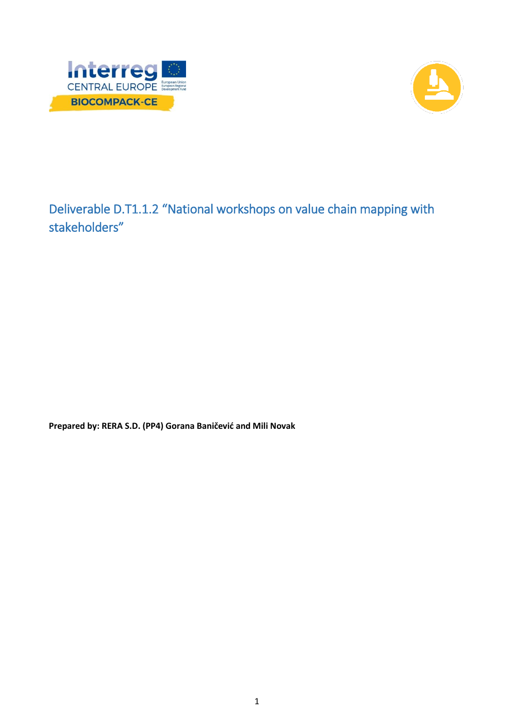



Deliverable D.T1.1.2 "National workshops on value chain mapping with stakeholders"

**Prepared by: RERA S.D. (PP4) Gorana Baničević and Mili Novak**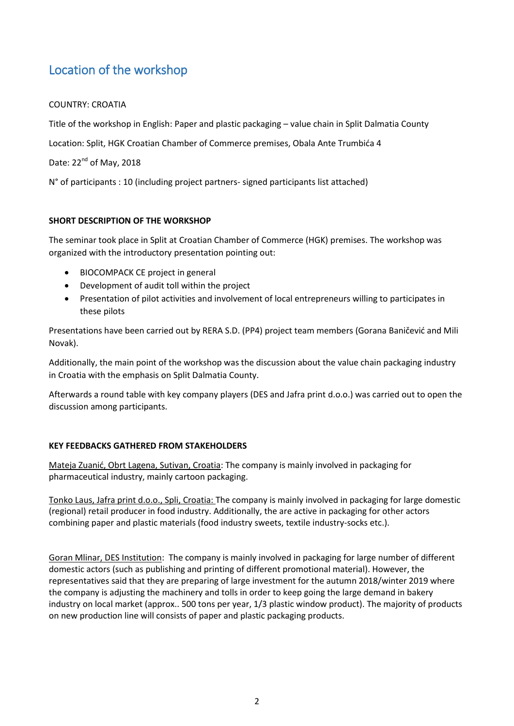## Location of the workshop

## COUNTRY: CROATIA

Title of the workshop in English: Paper and plastic packaging – value chain in Split Dalmatia County

Location: Split, HGK Croatian Chamber of Commerce premises, Obala Ante Trumbića 4

Date: 22<sup>nd</sup> of May, 2018

N° of participants : 10 (including project partners- signed participants list attached)

## **SHORT DESCRIPTION OF THE WORKSHOP**

The seminar took place in Split at Croatian Chamber of Commerce (HGK) premises. The workshop was organized with the introductory presentation pointing out:

- BIOCOMPACK CE project in general
- Development of audit toll within the project
- Presentation of pilot activities and involvement of local entrepreneurs willing to participates in these pilots

Presentations have been carried out by RERA S.D. (PP4) project team members (Gorana Baničević and Mili Novak).

Additionally, the main point of the workshop was the discussion about the value chain packaging industry in Croatia with the emphasis on Split Dalmatia County.

Afterwards a round table with key company players (DES and Jafra print d.o.o.) was carried out to open the discussion among participants.

## **KEY FEEDBACKS GATHERED FROM STAKEHOLDERS**

Mateja Zuanić, Obrt Lagena, Sutivan, Croatia: The company is mainly involved in packaging for pharmaceutical industry, mainly cartoon packaging.

Tonko Laus, Jafra print d.o.o., Spli, Croatia: The company is mainly involved in packaging for large domestic (regional) retail producer in food industry. Additionally, the are active in packaging for other actors combining paper and plastic materials (food industry sweets, textile industry-socks etc.).

Goran Mlinar, DES Institution: The company is mainly involved in packaging for large number of different domestic actors (such as publishing and printing of different promotional material). However, the representatives said that they are preparing of large investment for the autumn 2018/winter 2019 where the company is adjusting the machinery and tolls in order to keep going the large demand in bakery industry on local market (approx.. 500 tons per year, 1/3 plastic window product). The majority of products on new production line will consists of paper and plastic packaging products.